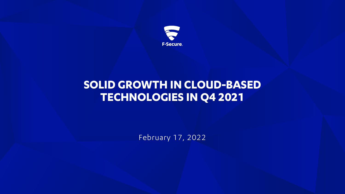

## **SOLID GROWTH IN CLOUD-BASED TECHNOLOGIES IN Q4 2021**

February 17, 2022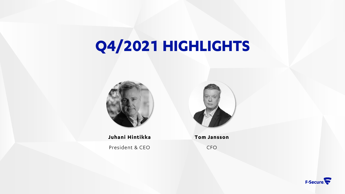# **Q4/2021 HIGHLIGHTS**



**Juhani Hintikka** President & CEO



**Tom Jansson**

CFO

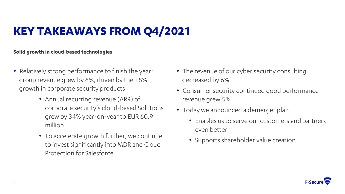## **KEY TAKEAWAYS FROM Q4/2021**

### **Solid growth in cloud-based technologies**

- Relatively strong performance to finish the year: group revenue grew by 6%, driven by the 18% growth in corporate security products
	- Annual recurring revenue (ARR) of corporate security's cloud-based Solutions grew by 34% year-on-year to EUR 60.9 million
	- To accelerate growth further, we continue to invest significantly into MDR and Cloud Protection for Salesforce
- The revenue of our cyber security consulting decreased by 6%
- Consumer security continued good performance revenue grew 5%
- Today we announced a demerger plan
	- Enables us to serve our customers and partners even better
	- Supports shareholder value creation

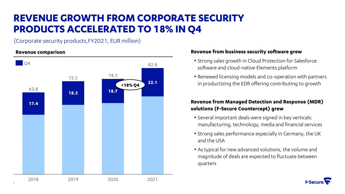### **REVENUE GROWTH FROM CORPORATE SECURITY PRODUCTS ACCELERATED TO 18% IN Q4**

(Corporate security products,FY2021, EUR million)



#### **Revenue comparison Revenue from business security software grew**

- Strong sales growth in Cloud Protection for Salesforce software and cloud-native Elements platform
- Renewed licensing models and co-operation with partners in productizing the EDR offering contributing to growth

### **Revenue from Managed Detection and Response (MDR) solutions (F-Secure Countercept) grew**

- Several important deals were signed in key verticals: manufacturing, technology, media and financial services
- Strong sales performance especially in Germany, the UK and the USA
- As typical for new advanced solutions, the volume and magnitude of deals are expected to fluctuate between quarters

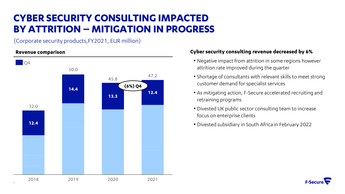### **CYBER SECURITY CONSULTING IMPACTED BY ATTRITION – MITIGATION IN PROGRESS**

(Corporate security products,FY2021, EUR million)

#### **Revenue comparison**



### **Cyber security consulting revenue decreased by 6%**

- Negative impact from attrition in some regions however attrition rate improved during the quarter
- Shortage of consultants with relevant skills to meet strong customer demand for specialist services
- As mitigating action, F-Secure accelerated recruiting and retraining programs
- Divested UK public sector consulting team to increase focus on enterprise clients
- Divested subsidiary in South Africa in February 2022

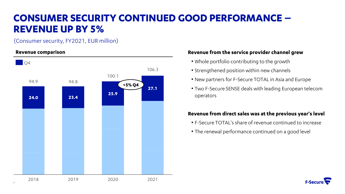### **CONSUMER SECURITY CONTINUED GOOD PERFORMANCE – REVENUE UP BY 5%**

(Consumer security, FY2021, EUR million)

### **Revenue comparison**



### **Revenue from the service provider channel grew**

- Whole portfolio contributing to the growth
- Strengthened position within new channels
- New partners for F-Secure TOTAL in Asia and Europe
- Two F-Secure SENSE deals with leading European telecom operators

### **Revenue from direct sales was at the previous year's level**

- F-Secure TOTAL's share of revenue continued to increase
- The renewal performance continued on a good level

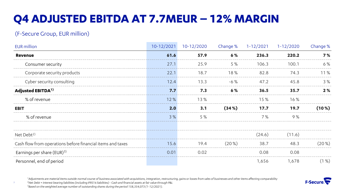## **Q4 ADJUSTED EBITDA AT 7.7MEUR – 12% MARGIN**

### (F-Secure Group, EUR million)

7

| <b>EUR</b> million                                         | $10-12/2021$ | 10-12/2020 | Change % | $1 - 12/2021$ | $1 - 12/2020$ | Change % |
|------------------------------------------------------------|--------------|------------|----------|---------------|---------------|----------|
| <b>Revenue</b>                                             | 61.6         | 57.9       | 6%       | 236.3         | 220.2         | 7%       |
| Consumer security                                          | 27.1         | 25.9       | 5 %      | 106.3         | 100.1         | 6%       |
| Corporate security products                                | 22.1         | 18.7       | 18%      | 82.8          | 74.3          | 11%      |
| Cyber security consulting                                  | 12.4         | 13.3       | $-6%$    | 47.2          | 45.8          | 3%       |
| Adjusted EBITDA <sup>1)</sup>                              | 7.7          | 7.3        | 6%       | 36.5          | 35.7          | 2%       |
| % of revenue                                               | 12%          | 13%        |          | 15%           | 16%           |          |
| <b>EBIT</b>                                                | 2.0          | 3.1        | (34%)    | 17.7          | 19.7          | $(10\%)$ |
| % of revenue                                               | 3%           | 5 %        |          | 7%            | 9%            |          |
| Net Debt <sup>2)</sup>                                     |              |            |          | (24.6)        | (11.6)        |          |
| Cash flow from operations before financial items and taxes | 15.6         | 19.4       | $(20\%)$ | 38.7          | 48.3          | $(20\%)$ |
| Earnings per share (EUR) <sup>3)</sup>                     | 0.01         | 0.02       |          | 0.08          | 0.08          |          |
| Personnel, end of period                                   |              |            |          | 1,656         | 1,678         | (1%)     |

1Adjustments are material items outside normal course of business associated with acquisitions, integration, restructuring, gains or losses from sales of businesses and other items affecting comparability



*<sup>2</sup>Net Debt = Interest bearing liabilities (including IFRS16 liabilities) - Cash and financial assets at fair value through P&L <sup>3</sup>Based on the weighted average number of outstanding shares during the period 158,354,073 (1-12/2021).*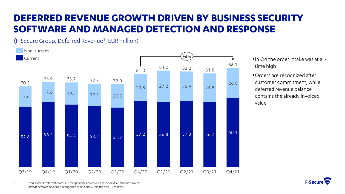### **DEFERRED REVENUE GROWTH DRIVEN BY BUSINESS SECURITY SOFTWARE AND MANAGED DETECTION AND RESPONSE**

(F-Secure Group, Deferred Revenue<sup>1</sup>, EUR million)



- •In Q4 the order intake was at alltime high
- •Orders are recognized after customer commitment, while deferred revenue balance contains the already invoiced value

*<sup>1</sup>Non-current deferred revenue = recognized as revenue after the next 12 months onwards Current deferred revenue = recognized as revenue within the next 12 months*

8

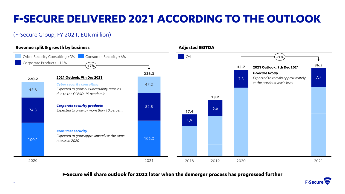## **F-SECURE DELIVERED 2021 ACCORDING TO THE OUTLOOK**

### (F-Secure Group, FY 2021, EUR million)



#### **F-Secure will share outlook for 2022 later when the demerger process has progressed further**